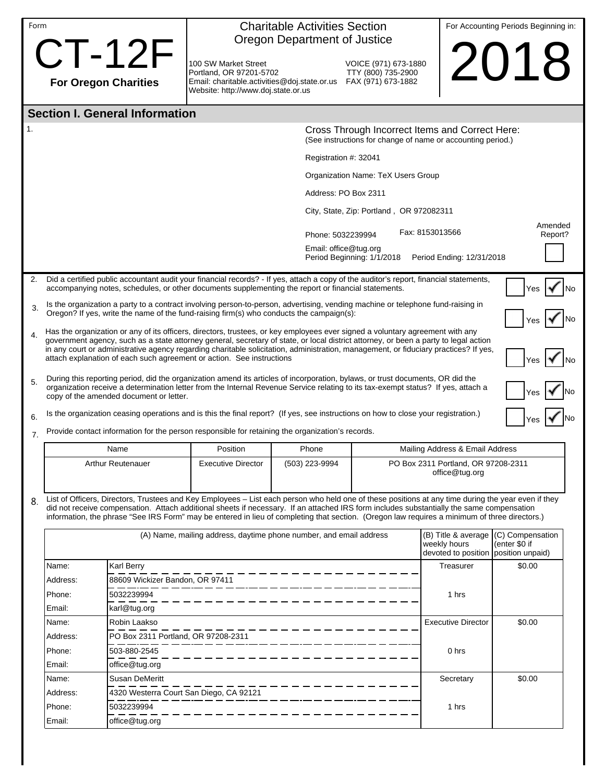| Form |                                                                                                                                                                                                                                                                                                                                                                                                                                                                                               |                                                       | <b>Charitable Activities Section</b><br>Oregon Department of Justice                                                                                                                                                                          |                |                                                                                                                | For Accounting Periods Beginning in:                                        |                                   |  |  |
|------|-----------------------------------------------------------------------------------------------------------------------------------------------------------------------------------------------------------------------------------------------------------------------------------------------------------------------------------------------------------------------------------------------------------------------------------------------------------------------------------------------|-------------------------------------------------------|-----------------------------------------------------------------------------------------------------------------------------------------------------------------------------------------------------------------------------------------------|----------------|----------------------------------------------------------------------------------------------------------------|-----------------------------------------------------------------------------|-----------------------------------|--|--|
|      | <b>For Oregon Charities</b>                                                                                                                                                                                                                                                                                                                                                                                                                                                                   | <b>CT-12F</b>                                         | 100 SW Market Street<br>Portland, OR 97201-5702<br>Email: charitable.activities@doj.state.or.us FAX (971) 673-1882<br>Website: http://www.doj.state.or.us                                                                                     |                | VOICE (971) 673-1880<br>TTY (800) 735-2900                                                                     |                                                                             | 2018                              |  |  |
|      | <b>Section I. General Information</b>                                                                                                                                                                                                                                                                                                                                                                                                                                                         |                                                       |                                                                                                                                                                                                                                               |                |                                                                                                                |                                                                             |                                   |  |  |
| 1.   |                                                                                                                                                                                                                                                                                                                                                                                                                                                                                               |                                                       |                                                                                                                                                                                                                                               |                | Cross Through Incorrect Items and Correct Here:<br>(See instructions for change of name or accounting period.) |                                                                             |                                   |  |  |
|      |                                                                                                                                                                                                                                                                                                                                                                                                                                                                                               |                                                       |                                                                                                                                                                                                                                               |                | Registration #: 32041                                                                                          |                                                                             |                                   |  |  |
|      |                                                                                                                                                                                                                                                                                                                                                                                                                                                                                               |                                                       | Organization Name: TeX Users Group                                                                                                                                                                                                            |                |                                                                                                                |                                                                             |                                   |  |  |
|      |                                                                                                                                                                                                                                                                                                                                                                                                                                                                                               |                                                       | Address: PO Box 2311                                                                                                                                                                                                                          |                |                                                                                                                |                                                                             |                                   |  |  |
|      |                                                                                                                                                                                                                                                                                                                                                                                                                                                                                               |                                                       |                                                                                                                                                                                                                                               |                | City, State, Zip: Portland, OR 972082311                                                                       |                                                                             |                                   |  |  |
|      |                                                                                                                                                                                                                                                                                                                                                                                                                                                                                               |                                                       |                                                                                                                                                                                                                                               |                | Phone: 5032239994                                                                                              | Fax: 8153013566                                                             | Amended<br>Report?                |  |  |
|      |                                                                                                                                                                                                                                                                                                                                                                                                                                                                                               |                                                       |                                                                                                                                                                                                                                               |                | Email: office@tug.org<br>Period Beginning: 1/1/2018                                                            | Period Ending: 12/31/2018                                                   |                                   |  |  |
| 2.   |                                                                                                                                                                                                                                                                                                                                                                                                                                                                                               |                                                       | Did a certified public accountant audit your financial records? - If yes, attach a copy of the auditor's report, financial statements,<br>accompanying notes, schedules, or other documents supplementing the report or financial statements. |                |                                                                                                                |                                                                             | Yes                               |  |  |
| 3.   | Is the organization a party to a contract involving person-to-person, advertising, vending machine or telephone fund-raising in<br>Oregon? If yes, write the name of the fund-raising firm(s) who conducts the campaign(s):<br>Yes                                                                                                                                                                                                                                                            |                                                       |                                                                                                                                                                                                                                               |                |                                                                                                                |                                                                             |                                   |  |  |
| 4.   | Has the organization or any of its officers, directors, trustees, or key employees ever signed a voluntary agreement with any<br>government agency, such as a state attorney general, secretary of state, or local district attorney, or been a party to legal action<br>in any court or administrative agency regarding charitable solicitation, administration, management, or fiduciary practices? If yes,<br>attach explanation of each such agreement or action. See instructions<br>Yes |                                                       |                                                                                                                                                                                                                                               |                |                                                                                                                |                                                                             |                                   |  |  |
| 5.   | During this reporting period, did the organization amend its articles of incorporation, bylaws, or trust documents, OR did the<br>organization receive a determination letter from the Internal Revenue Service relating to its tax-exempt status? If yes, attach a<br>copy of the amended document or letter.                                                                                                                                                                                |                                                       |                                                                                                                                                                                                                                               |                |                                                                                                                |                                                                             |                                   |  |  |
| 6.   | Is the organization ceasing operations and is this the final report? (If yes, see instructions on how to close your registration.)                                                                                                                                                                                                                                                                                                                                                            |                                                       |                                                                                                                                                                                                                                               |                |                                                                                                                |                                                                             |                                   |  |  |
| 7.   |                                                                                                                                                                                                                                                                                                                                                                                                                                                                                               |                                                       | Provide contact information for the person responsible for retaining the organization's records.                                                                                                                                              |                |                                                                                                                |                                                                             |                                   |  |  |
|      |                                                                                                                                                                                                                                                                                                                                                                                                                                                                                               | Name                                                  | Position                                                                                                                                                                                                                                      | Phone          |                                                                                                                | Mailing Address & Email Address                                             |                                   |  |  |
|      |                                                                                                                                                                                                                                                                                                                                                                                                                                                                                               | <b>Arthur Reutenauer</b>                              | <b>Executive Director</b>                                                                                                                                                                                                                     | (503) 223-9994 |                                                                                                                | PO Box 2311 Portland, OR 97208-2311<br>office@tug.org                       |                                   |  |  |
| 8.   | List of Officers, Directors, Trustees and Key Employees - List each person who held one of these positions at any time during the year even if they<br>did not receive compensation. Attach additional sheets if necessary. If an attached IRS form includes substantially the same compensation<br>information, the phrase "See IRS Form" may be entered in lieu of completing that section. (Oregon law requires a minimum of three directors.)                                             |                                                       |                                                                                                                                                                                                                                               |                |                                                                                                                |                                                                             |                                   |  |  |
|      |                                                                                                                                                                                                                                                                                                                                                                                                                                                                                               |                                                       | (A) Name, mailing address, daytime phone number, and email address                                                                                                                                                                            |                |                                                                                                                | (B) Title & average<br>weekly hours<br>devoted to position position unpaid) | (C) Compensation<br>(enter \$0 if |  |  |
|      | Karl Berry<br>Name:<br>88609 Wickizer Bandon, OR 97411<br>Address:                                                                                                                                                                                                                                                                                                                                                                                                                            |                                                       |                                                                                                                                                                                                                                               |                |                                                                                                                | Treasurer                                                                   | \$0.00                            |  |  |
|      | Phone:<br>5032239994                                                                                                                                                                                                                                                                                                                                                                                                                                                                          |                                                       |                                                                                                                                                                                                                                               |                |                                                                                                                | 1 hrs                                                                       |                                   |  |  |
|      | karl@tug.org<br>Email:                                                                                                                                                                                                                                                                                                                                                                                                                                                                        |                                                       |                                                                                                                                                                                                                                               |                |                                                                                                                |                                                                             |                                   |  |  |
|      | Robin Laakso<br>Name:                                                                                                                                                                                                                                                                                                                                                                                                                                                                         |                                                       |                                                                                                                                                                                                                                               |                | <b>Executive Director</b>                                                                                      | \$0.00                                                                      |                                   |  |  |
|      | PO Box 2311 Portland, OR 97208-2311<br>Address:                                                                                                                                                                                                                                                                                                                                                                                                                                               |                                                       |                                                                                                                                                                                                                                               |                |                                                                                                                |                                                                             |                                   |  |  |
|      | Phone:<br>503-880-2545                                                                                                                                                                                                                                                                                                                                                                                                                                                                        |                                                       |                                                                                                                                                                                                                                               |                |                                                                                                                | 0 <sub>hrs</sub>                                                            |                                   |  |  |
|      | Email:                                                                                                                                                                                                                                                                                                                                                                                                                                                                                        | office@tug.org                                        |                                                                                                                                                                                                                                               |                |                                                                                                                |                                                                             |                                   |  |  |
|      | Name:                                                                                                                                                                                                                                                                                                                                                                                                                                                                                         | <b>Susan DeMeritt</b>                                 |                                                                                                                                                                                                                                               |                |                                                                                                                | Secretary                                                                   | \$0.00                            |  |  |
|      | Address:                                                                                                                                                                                                                                                                                                                                                                                                                                                                                      | 4320 Westerra Court San Diego, CA 92121<br>5032239994 |                                                                                                                                                                                                                                               |                |                                                                                                                |                                                                             |                                   |  |  |
|      | Phone:<br>office@tug.org<br>Email:                                                                                                                                                                                                                                                                                                                                                                                                                                                            |                                                       |                                                                                                                                                                                                                                               |                |                                                                                                                | 1 hrs                                                                       |                                   |  |  |
|      |                                                                                                                                                                                                                                                                                                                                                                                                                                                                                               |                                                       |                                                                                                                                                                                                                                               |                |                                                                                                                |                                                                             |                                   |  |  |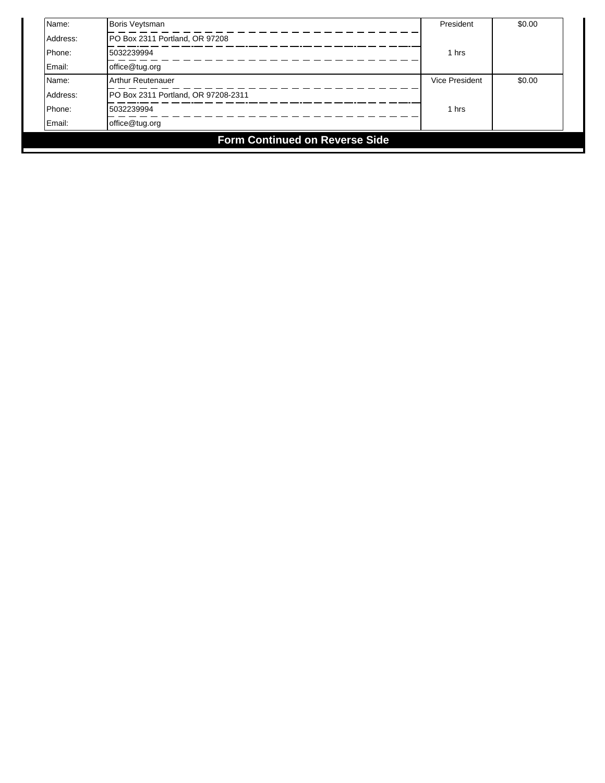| Name:                                 | Boris Veytsman                      | President      | \$0.00 |  |  |  |
|---------------------------------------|-------------------------------------|----------------|--------|--|--|--|
| Address:                              | PO Box 2311 Portland, OR 97208      |                |        |  |  |  |
| Phone:                                | 5032239994                          | 1 hrs          |        |  |  |  |
| Email:                                | office@tug.org                      |                |        |  |  |  |
| Name:                                 | Arthur Reutenauer                   | Vice President | \$0.00 |  |  |  |
| Address:                              | PO Box 2311 Portland, OR 97208-2311 |                |        |  |  |  |
| Phone:                                | 5032239994                          | 1 hrs          |        |  |  |  |
| Email:                                | office@tug.org                      |                |        |  |  |  |
| <b>Form Continued on Reverse Side</b> |                                     |                |        |  |  |  |